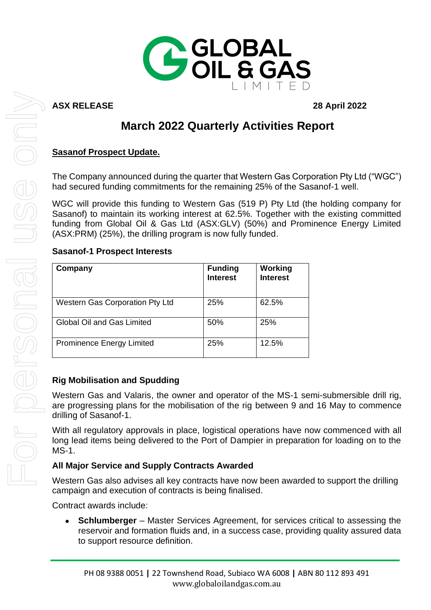

# **ASX RELEASE 28 April 2022**

# **March 2022 Quarterly Activities Report**

# **Sasanof Prospect Update.**

The Company announced during the quarter that Western Gas Corporation Pty Ltd ("WGC") had secured funding commitments for the remaining 25% of the Sasanof-1 well.

WGC will provide this funding to Western Gas (519 P) Pty Ltd (the holding company for Sasanof) to maintain its working interest at 62.5%. Together with the existing committed funding from Global Oil & Gas Ltd (ASX:GLV) (50%) and Prominence Energy Limited (ASX:PRM) (25%), the drilling program is now fully funded.

#### **Sasanof-1 Prospect Interests**

| Company                                | <b>Funding</b><br><b>Interest</b> | <b>Working</b><br><b>Interest</b> |
|----------------------------------------|-----------------------------------|-----------------------------------|
| <b>Western Gas Corporation Pty Ltd</b> | 25%                               | 62.5%                             |
| Global Oil and Gas Limited             | 50%                               | 25%                               |
| <b>Prominence Energy Limited</b>       | 25%                               | 12.5%                             |

### **Rig Mobilisation and Spudding**

Western Gas and Valaris, the owner and operator of the MS-1 semi-submersible drill rig, are progressing plans for the mobilisation of the rig between 9 and 16 May to commence drilling of Sasanof-1.

With all regulatory approvals in place, logistical operations have now commenced with all long lead items being delivered to the Port of Dampier in preparation for loading on to the MS-1.

### **All Major Service and Supply Contracts Awarded**

Western Gas also advises all key contracts have now been awarded to support the drilling campaign and execution of contracts is being finalised.

Contract awards include:

• **Schlumberger** – Master Services Agreement, for services critical to assessing the reservoir and formation fluids and, in a success case, providing quality assured data to support resource definition.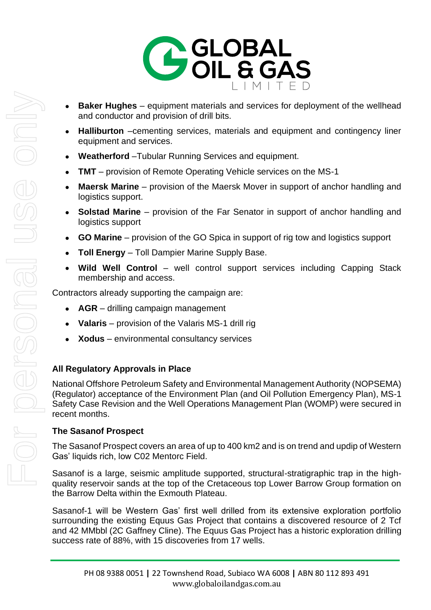

- **Baker Hughes** equipment materials and services for deployment of the wellhead and conductor and provision of drill bits.
- **Halliburton** –cementing services, materials and equipment and contingency liner equipment and services.
- **Weatherford** –Tubular Running Services and equipment.
- **TMT** provision of Remote Operating Vehicle services on the MS-1
- **Maersk Marine**  provision of the Maersk Mover in support of anchor handling and logistics support.
- **Solstad Marine**  provision of the Far Senator in support of anchor handling and logistics support
- **GO Marine**  provision of the GO Spica in support of rig tow and logistics support
- **Toll Energy**  Toll Dampier Marine Supply Base.
- **Wild Well Control**  well control support services including Capping Stack membership and access.

Contractors already supporting the campaign are:

- **AGR** drilling campaign management
- **Valaris** provision of the Valaris MS-1 drill rig
- **Xodus** environmental consultancy services

# **All Regulatory Approvals in Place**

National Offshore Petroleum Safety and Environmental Management Authority (NOPSEMA) (Regulator) acceptance of the Environment Plan (and Oil Pollution Emergency Plan), MS-1 Safety Case Revision and the Well Operations Management Plan (WOMP) were secured in recent months.

### **The Sasanof Prospect**

The Sasanof Prospect covers an area of up to 400 km2 and is on trend and updip of Western Gas' liquids rich, low C02 Mentorc Field.

Sasanof is a large, seismic amplitude supported, structural-stratigraphic trap in the highquality reservoir sands at the top of the Cretaceous top Lower Barrow Group formation on the Barrow Delta within the Exmouth Plateau.

Sasanof-1 will be Western Gas' first well drilled from its extensive exploration portfolio surrounding the existing Equus Gas Project that contains a discovered resource of 2 Tcf and 42 MMbbl (2C Gaffney Cline). The Equus Gas Project has a historic exploration drilling success rate of 88%, with 15 discoveries from 17 wells.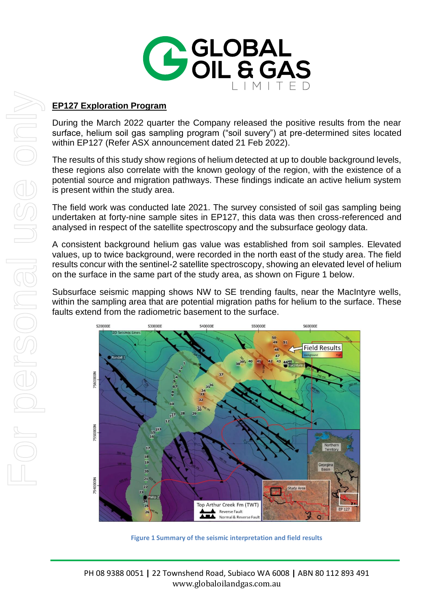

#### **EP127 Exploration Program**

During the March 2022 quarter the Company released the positive results from the near surface, helium soil gas sampling program ("soil suvery") at pre-determined sites located within EP127 (Refer ASX announcement dated 21 Feb 2022).

The results of this study show regions of helium detected at up to double background levels, these regions also correlate with the known geology of the region, with the existence of a potential source and migration pathways. These findings indicate an active helium system is present within the study area.

The field work was conducted late 2021. The survey consisted of soil gas sampling being undertaken at forty-nine sample sites in EP127, this data was then cross-referenced and analysed in respect of the satellite spectroscopy and the subsurface geology data.

A consistent background helium gas value was established from soil samples. Elevated values, up to twice background, were recorded in the north east of the study area. The field results concur with the sentinel-2 satellite spectroscopy, showing an elevated level of helium on the surface in the same part of the study area, as shown on Figure 1 below.

Subsurface seismic mapping shows NW to SE trending faults, near the MacIntyre wells, within the sampling area that are potential migration paths for helium to the surface. These faults extend from the radiometric basement to the surface.



**Figure 1 Summary of the seismic interpretation and field results**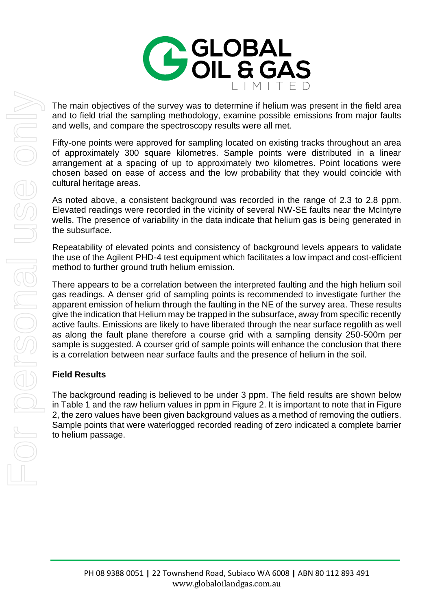

The main objectives of the survey was to determine if helium was present in the field area and to field trial the sampling methodology, examine possible emissions from major faults and wells, and compare the spectroscopy results were all met.

Fifty-one points were approved for sampling located on existing tracks throughout an area of approximately 300 square kilometres. Sample points were distributed in a linear arrangement at a spacing of up to approximately two kilometres. Point locations were chosen based on ease of access and the low probability that they would coincide with cultural heritage areas.

As noted above, a consistent background was recorded in the range of 2.3 to 2.8 ppm. Elevated readings were recorded in the vicinity of several NW-SE faults near the McIntyre wells. The presence of variability in the data indicate that helium gas is being generated in the subsurface.

Repeatability of elevated points and consistency of background levels appears to validate the use of the Agilent PHD-4 test equipment which facilitates a low impact and cost-efficient method to further ground truth helium emission.

There appears to be a correlation between the interpreted faulting and the high helium soil gas readings. A denser grid of sampling points is recommended to investigate further the apparent emission of helium through the faulting in the NE of the survey area. These results give the indication that Helium may be trapped in the subsurface, away from specific recently active faults. Emissions are likely to have liberated through the near surface regolith as well as along the fault plane therefore a course grid with a sampling density 250-500m per sample is suggested. A courser grid of sample points will enhance the conclusion that there is a correlation between near surface faults and the presence of helium in the soil.

### **Field Results**

The background reading is believed to be under 3 ppm. The field results are shown below in Table 1 and the raw helium values in ppm in Figure 2. It is important to note that in Figure 2, the zero values have been given background values as a method of removing the outliers. Sample points that were waterlogged recorded reading of zero indicated a complete barrier to helium passage.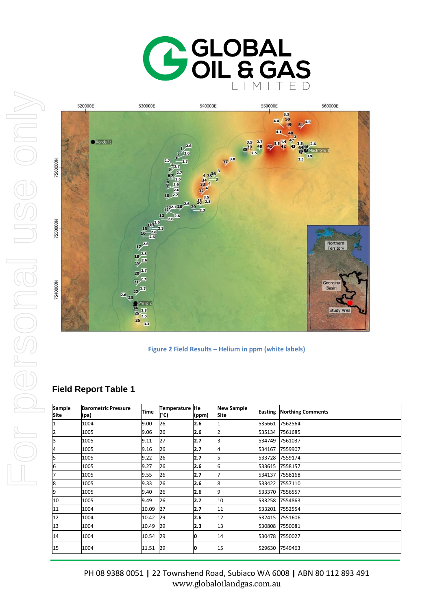



**Figure 2 Field Results – Helium in ppm (white labels)**

# **Field Report Table 1**

| Sample<br><b>Site</b> | <b>Barometric Pressure</b><br>(pa) | <b>Time</b> | Temperature He<br>(°C) | (ppm) | <b>New Sample</b><br><b>Site</b> | <b>Easting</b> |         | <b>Northing</b> Comments |
|-----------------------|------------------------------------|-------------|------------------------|-------|----------------------------------|----------------|---------|--------------------------|
| 1                     | 1004                               | 9.00        | 26                     | 2.6   |                                  | 535661         | 7562564 |                          |
| 2                     | 1005                               | 9.06        | 26                     | 2.6   |                                  | 535134         | 7561685 |                          |
| 3                     | 1005                               | 9.11        | 27                     | 2.7   | ß.                               | 534749         | 7561037 |                          |
| 4                     | 1005                               | 9.16        | 26                     | 2.7   | 4                                | 534167         | 7559907 |                          |
| 5                     | 1005                               | 9.22        | 26                     | 2.7   | 5                                | 533728         | 7559174 |                          |
| 6                     | 1005                               | 9.27        | 26                     | 2.6   | 6                                | 533615         | 7558157 |                          |
| 7                     | 1005                               | 9.55        | 26                     | 2.7   |                                  | 534137         | 7558168 |                          |
| 8                     | 1005                               | 9.33        | 26                     | 2.6   | 8                                | 533422         | 7557110 |                          |
| 9                     | 1005                               | 9.40        | 26                     | 2.6   | 9                                | 533370         | 7556557 |                          |
| 10                    | 1005                               | 9.49        | 26                     | 2.7   | 10                               | 533258         | 7554863 |                          |
| 11                    | 1004                               | 10.09       | 27                     | 2.7   | 11                               | 533201         | 7552554 |                          |
| 12                    | 1004                               | 10.42       | 29                     | 2.6   | 12                               | 532415         | 7551606 |                          |
| 13                    | 1004                               | 10.49       | 29                     | 2.3   | 13                               | 530808         | 7550081 |                          |
| 14                    | 1004                               | 10.54       | 29                     | 10    | 14                               | 530478         | 7550027 |                          |
| 15                    | 1004                               | 11.51       | 29                     | 0     | 15                               | 529630         | 7549463 |                          |

PH 08 9388 0051 **|** 22 Townshend Road, Subiaco WA 6008 **|** ABN 80 112 893 491 www.globaloilandgas.com.au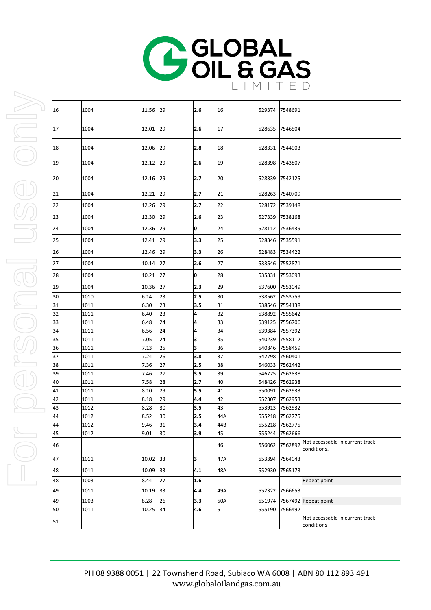

| 16 | 1004 | 11.56 29 |    | 2.6 | 16  |        | 529374 7548691 |                                                |
|----|------|----------|----|-----|-----|--------|----------------|------------------------------------------------|
| 17 | 1004 | 12.01 29 |    | 2.6 | 17  | 528635 | 7546504        |                                                |
| 18 | 1004 | 12.06    | 29 | 2.8 | 18  | 528331 | 7544903        |                                                |
| 19 | 1004 | 12.12    | 29 | 2.6 | 19  | 528398 | 7543807        |                                                |
| 20 | 1004 | 12.16 29 |    | 2.7 | 20  | 528339 | 7542125        |                                                |
| 21 | 1004 | 12.21 29 |    | 2.7 | 21  | 528263 | 7540709        |                                                |
| 22 | 1004 | 12.26    | 29 | 2.7 | 22  | 528172 | 7539148        |                                                |
| 23 | 1004 | 12.30    | 29 | 2.6 | 23  | 527339 | 7538168        |                                                |
| 24 | 1004 | 12.36    | 29 | O   | 24  | 528112 | 7536439        |                                                |
| 25 | 1004 | 12.41    | 29 | 3.3 | 25  | 528346 | 7535591        |                                                |
| 26 | 1004 | 12.46    | 29 | 3.3 | 26  | 528483 | 7534422        |                                                |
| 27 | 1004 | 10.14 27 |    | 2.6 | 27  | 533546 | 7552871        |                                                |
| 28 | 1004 | 10.21    | 27 | 0   | 28  | 535331 | 7553093        |                                                |
| 29 | 1004 | 10.36    | 27 | 2.3 | 29  | 537600 | 7553049        |                                                |
| 30 | 1010 | 6.14     | 23 | 2.5 | 30  | 538562 | 7553759        |                                                |
| 31 | 1011 | 6.30     | 23 | 3.5 | 31  | 538546 | 7554138        |                                                |
| 32 | 1011 | 6.40     | 23 | 4   | 32  | 538892 | 7555642        |                                                |
| 33 | 1011 | 6.48     | 24 | 4   | 33  | 539125 | 7556706        |                                                |
| 34 | 1011 | 6.56     | 24 | 4   | 34  | 539384 | 7557392        |                                                |
| 35 | 1011 | 7.05     | 24 | 3   | 35  | 540239 | 7558112        |                                                |
| 36 | 1011 | 7.13     | 25 | 3   | 36  | 540846 | 7558459        |                                                |
| 37 | 1011 | 7.24     | 26 | 3.8 | 37  | 542798 | 7560401        |                                                |
| 38 | 1011 | 7.36     | 27 | 2.5 | 38  | 546033 | 7562442        |                                                |
| 39 | 1011 | 7.46     | 27 | 3.5 | 39  | 546775 | 7562838        |                                                |
| 40 | 1011 | 7.58     | 28 | 2.7 | 40  | 548426 | 7562938        |                                                |
| 41 | 1011 | 8.10     | 29 | 5.5 | 41  | 550091 | 7562933        |                                                |
| 42 | 1011 | 8.18     | 29 | 4.4 | 42  | 552307 | 7562953        |                                                |
| 43 | 1012 | 8.28     | 30 | 3.5 | 43  |        | 553913 7562932 |                                                |
| 44 | 1012 | 8.52     | 30 | 2.5 | 44A |        | 555218 7562775 |                                                |
| 44 | 1012 | 9.46     | 31 | 3.4 | 44B |        | 555218 7562775 |                                                |
| 45 | 1012 | 9.01     | 30 | 3.9 | 45  | 555244 | 7562666        |                                                |
| 46 |      |          |    |     | 46  | 556062 | 7562892        | Not accessable in current track<br>conditions. |
| 47 | 1011 | 10.02    | 33 | 3   | 47A | 553394 | 7564043        |                                                |
| 48 | 1011 | 10.09    | 33 | 4.1 | 48A | 552930 | 7565173        |                                                |
| 48 | 1003 | 8.44     | 27 | 1.6 |     |        |                | Repeat point                                   |
| 49 | 1011 | 10.19    | 33 | 4.4 | 49A |        | 552322 7566653 |                                                |
| 49 | 1003 | 8.28     | 26 | 3.3 | 50A | 551974 |                | 7567492 Repeat point                           |
| 50 | 1011 | 10.25    | 34 | 4.6 | 51  | 555190 | 7566492        |                                                |
| 51 |      |          |    |     |     |        |                | Not accessable in current track<br>conditions  |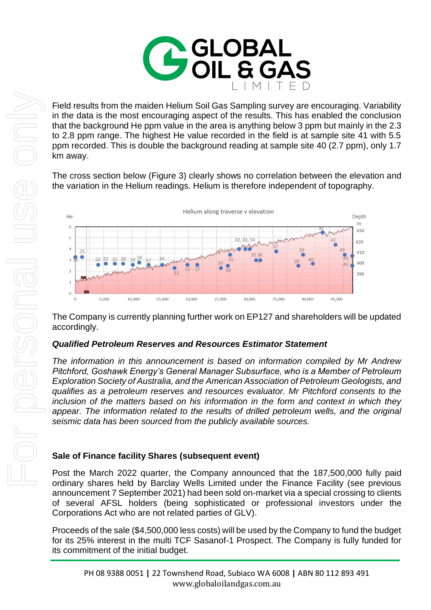

Field results from the maiden Helium Soil Gas Sampling survey are encouraging. Variability in the data is the most encouraging aspect of the results. This has enabled the conclusion that the background He ppm value in the area is anything below 3 ppm but mainly in the 2.3 to 2.8 ppm range. The highest He value recorded in the field is at sample site 41 with 5.5 ppm recorded. This is double the background reading at sample site 40 (2.7 ppm), only 1.7 km away.

The cross section below (Figure 3) clearly shows no correlation between the elevation and the variation in the Helium readings. Helium is therefore independent of topography.



The Company is currently planning further work on EP127 and shareholders will be updated accordingly.

### *Qualified Petroleum Reserves and Resources Estimator Statement*

*The information in this announcement is based on information compiled by Mr Andrew Pitchford, Goshawk Energy's General Manager Subsurface, who is a Member of Petroleum Exploration Society of Australia, and the American Association of Petroleum Geologists, and qualifies as a petroleum reserves and resources evaluator. Mr Pitchford consents to the inclusion of the matters based on his information in the form and context in which they appear. The information related to the results of drilled petroleum wells, and the original seismic data has been sourced from the publicly available sources.* 

### **Sale of Finance facility Shares (subsequent event)**

Post the March 2022 quarter, the Company announced that the 187,500,000 fully paid ordinary shares held by Barclay Wells Limited under the Finance Facility (see previous announcement 7 September 2021) had been sold on-market via a special crossing to clients of several AFSL holders (being sophisticated or professional investors under the Corporations Act who are not related parties of GLV).

Proceeds of the sale (\$4,500,000 less costs) will be used by the Company to fund the budget for its 25% interest in the multi TCF Sasanof-1 Prospect. The Company is fully funded for its commitment of the initial budget.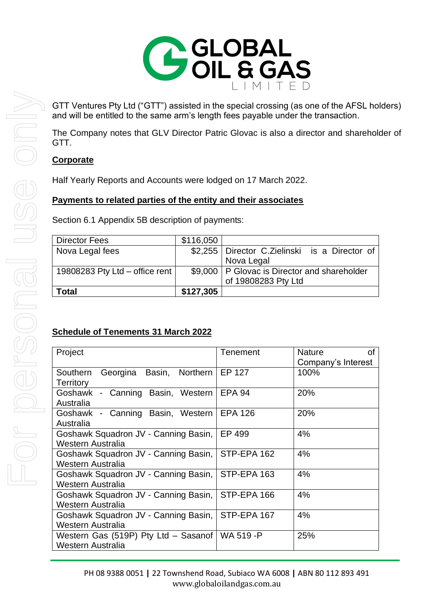

GTT Ventures Pty Ltd ("GTT") assisted in the special crossing (as one of the AFSL holders) and will be entitled to the same arm's length fees payable under the transaction.

The Company notes that GLV Director Patric Glovac is also a director and shareholder of GTT.

# **Corporate**

Half Yearly Reports and Accounts were lodged on 17 March 2022.

# **Payments to related parties of the entity and their associates**

Section 6.1 Appendix 5B description of payments:

| <b>Total</b>                   | \$127,305 |                                                 |
|--------------------------------|-----------|-------------------------------------------------|
|                                |           | of 19808283 Pty Ltd                             |
| 19808283 Pty Ltd - office rent |           | \$9,000   P Glovac is Director and shareholder  |
|                                |           | Nova Legal                                      |
| Nova Legal fees                |           | \$2,255   Director C.Zielinski is a Director of |
| <b>Director Fees</b>           | \$116,050 |                                                 |

# **Schedule of Tenements 31 March 2022**

| Project                              | Tenement       | <b>Nature</b><br>of |
|--------------------------------------|----------------|---------------------|
|                                      |                | Company's Interest  |
| Georgina Basin, Northern<br>Southern | EP 127         | 100%                |
| <b>Territory</b>                     |                |                     |
| Goshawk - Canning Basin, Western     | <b>EPA 94</b>  | 20%                 |
| Australia                            |                |                     |
| Goshawk - Canning Basin, Western     | <b>EPA 126</b> | 20%                 |
| Australia                            |                |                     |
| Goshawk Squadron JV - Canning Basin, | EP 499         | 4%                  |
| Western Australia                    |                |                     |
| Goshawk Squadron JV - Canning Basin, | STP-EPA 162    | 4%                  |
| Western Australia                    |                |                     |
| Goshawk Squadron JV - Canning Basin, | STP-EPA 163    | 4%                  |
| Western Australia                    |                |                     |
| Goshawk Squadron JV - Canning Basin, | STP-EPA 166    | 4%                  |
| Western Australia                    |                |                     |
| Goshawk Squadron JV - Canning Basin, | STP-EPA 167    | 4%                  |
| Western Australia                    |                |                     |
| Western Gas (519P) Pty Ltd - Sasanof | WA 519-P       | 25%                 |
| Western Australia                    |                |                     |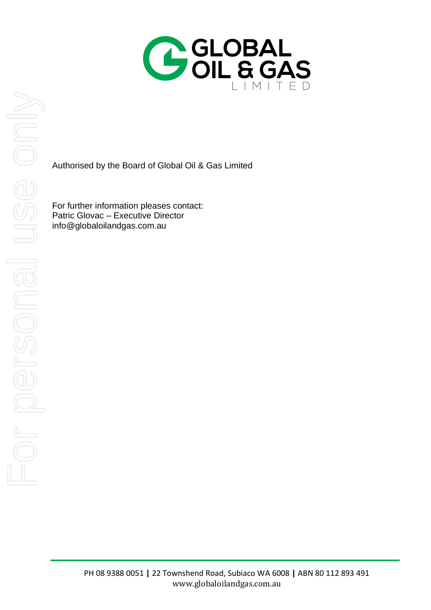

Authorised by the Board of Global Oil & Gas Limited

For further information pleases contact: Patric Glovac – Executive Director info@globaloilandgas.com.au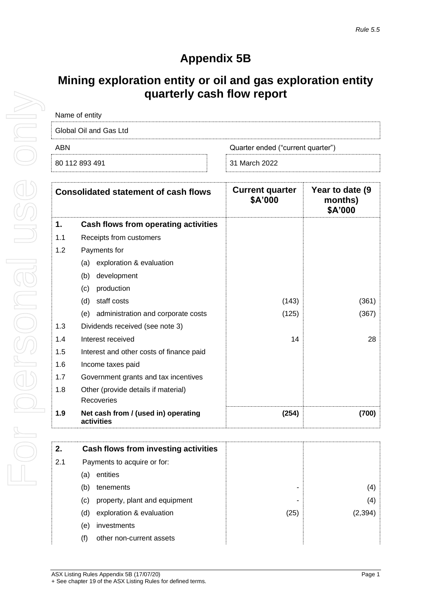# **Appendix 5B**

# **Mining exploration entity or oil and gas exploration entity quarterly cash flow report**

| Name of entity         |                                   |
|------------------------|-----------------------------------|
| Global Oil and Gas Ltd |                                   |
| ARN                    | Quarter ended ("current quarter") |
| 80 112 893 491         | 31 March 2022                     |

|     | <b>Consolidated statement of cash flows</b>       | <b>Current quarter</b><br>\$A'000 | Year to date (9)<br>months)<br>\$A'000 |
|-----|---------------------------------------------------|-----------------------------------|----------------------------------------|
| 1.  | Cash flows from operating activities              |                                   |                                        |
| 1.1 | Receipts from customers                           |                                   |                                        |
| 1.2 | Payments for                                      |                                   |                                        |
|     | exploration & evaluation<br>(a)                   |                                   |                                        |
|     | development<br>(b)                                |                                   |                                        |
|     | production<br>(c)                                 |                                   |                                        |
|     | staff costs<br>(d)                                | (143)                             | (361)                                  |
|     | administration and corporate costs<br>(e)         | (125)                             | (367)                                  |
| 1.3 | Dividends received (see note 3)                   |                                   |                                        |
| 1.4 | Interest received                                 | 14                                | 28                                     |
| 1.5 | Interest and other costs of finance paid          |                                   |                                        |
| 1.6 | Income taxes paid                                 |                                   |                                        |
| 1.7 | Government grants and tax incentives              |                                   |                                        |
| 1.8 | Other (provide details if material)               |                                   |                                        |
|     | Recoveries                                        |                                   |                                        |
| 1.9 | Net cash from / (used in) operating<br>activities | (254)                             | (700)                                  |

| 2.  | Cash flows from investing activities |      |
|-----|--------------------------------------|------|
| 2.1 | Payments to acquire or for:          |      |
|     | entities<br>(a)                      |      |
|     | tenements<br>(b)                     |      |
|     | property, plant and equipment<br>(C) |      |
|     | exploration & evaluation<br>(d)      | (25) |
|     | investments<br>(e)                   |      |
|     | other non-current assets             |      |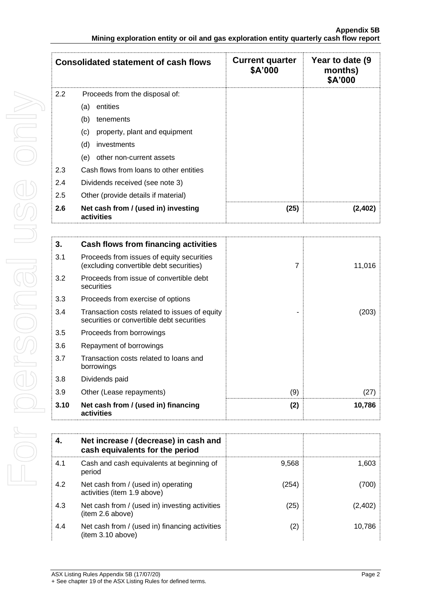|     | <b>Consolidated statement of cash flows</b>       | <b>Current quarter</b><br>\$A'000 | Year to date (9)<br>months)<br>\$A'000 |
|-----|---------------------------------------------------|-----------------------------------|----------------------------------------|
| 2.2 | Proceeds from the disposal of:                    |                                   |                                        |
|     | entities<br>(a)                                   |                                   |                                        |
|     | (b)<br>tenements                                  |                                   |                                        |
|     | property, plant and equipment<br>(c)              |                                   |                                        |
|     | (d)<br>investments                                |                                   |                                        |
|     | other non-current assets<br>(e)                   |                                   |                                        |
| 2.3 | Cash flows from loans to other entities           |                                   |                                        |
| 2.4 | Dividends received (see note 3)                   |                                   |                                        |
| 2.5 | Other (provide details if material)               |                                   |                                        |
| 2.6 | Net cash from / (used in) investing<br>activities | (25)                              | (2.402                                 |

| 3.   | Cash flows from financing activities                                                       |     |        |
|------|--------------------------------------------------------------------------------------------|-----|--------|
| 3.1  | Proceeds from issues of equity securities<br>(excluding convertible debt securities)       | 7   | 11,016 |
| 3.2  | Proceeds from issue of convertible debt<br>securities                                      |     |        |
| 3.3  | Proceeds from exercise of options                                                          |     |        |
| 3.4  | Transaction costs related to issues of equity<br>securities or convertible debt securities |     | (203)  |
| 3.5  | Proceeds from borrowings                                                                   |     |        |
| 3.6  | Repayment of borrowings                                                                    |     |        |
| 3.7  | Transaction costs related to loans and<br>borrowings                                       |     |        |
| 3.8  | Dividends paid                                                                             |     |        |
| 3.9  | Other (Lease repayments)                                                                   | (9) | (27)   |
| 3.10 | Net cash from / (used in) financing<br>activities                                          | (2) | 10,786 |

|     | Net increase / (decrease) in cash and<br>cash equivalents for the period |       |        |
|-----|--------------------------------------------------------------------------|-------|--------|
| 4.1 | Cash and cash equivalents at beginning of<br>period                      | 9,568 | 1.603  |
| 4.2 | Net cash from / (used in) operating<br>activities (item 1.9 above)       | (254) | 700    |
| 4.3 | Net cash from / (used in) investing activities<br>item 2.6 above)        | (25)  | (2,402 |
| 4.4 | Net cash from / (used in) financing activities<br>(item 3.10 above)      | (2)   | 10.786 |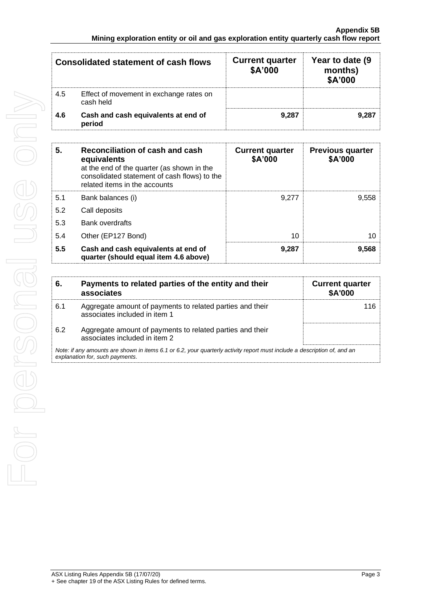|     | Consolidated statement of cash flows                 | <b>Current quarter</b><br>\$A'000 | Year to date (9)<br>months)<br>\$A'000 |
|-----|------------------------------------------------------|-----------------------------------|----------------------------------------|
| 4.5 | Effect of movement in exchange rates on<br>cash held |                                   |                                        |
| 4.6 | Cash and cash equivalents at end of<br>period        | 9.287                             | 9.28                                   |

| 5.  | Reconciliation of cash and cash<br>equivalents<br>at the end of the quarter (as shown in the<br>consolidated statement of cash flows) to the<br>related items in the accounts | <b>Current quarter</b><br>\$A'000 | <b>Previous quarter</b><br>\$A'000 |
|-----|-------------------------------------------------------------------------------------------------------------------------------------------------------------------------------|-----------------------------------|------------------------------------|
| 5.1 | Bank balances (i)                                                                                                                                                             | 9.277                             | 9.558                              |
| 5.2 | Call deposits                                                                                                                                                                 |                                   |                                    |
| 5.3 | <b>Bank overdrafts</b>                                                                                                                                                        |                                   |                                    |
| 5.4 | Other (EP127 Bond)                                                                                                                                                            | 10                                | 10                                 |
| 5.5 | Cash and cash equivalents at end of<br>quarter (should equal item 4.6 above)                                                                                                  | 9,287                             | 9.568                              |

|                                                                                                                                                             | Payments to related parties of the entity and their<br>associates                          | <b>Current quarter</b><br><b>\$A'000</b> |  |  |
|-------------------------------------------------------------------------------------------------------------------------------------------------------------|--------------------------------------------------------------------------------------------|------------------------------------------|--|--|
| 6.1                                                                                                                                                         | Aggregate amount of payments to related parties and their<br>associates included in item 1 |                                          |  |  |
| 6.2                                                                                                                                                         | Aggregate amount of payments to related parties and their<br>associates included in item 2 |                                          |  |  |
| Note: if any amounts are shown in items 6.1 or 6.2, your quarterly activity report must include a description of, and an<br>explanation for, such payments. |                                                                                            |                                          |  |  |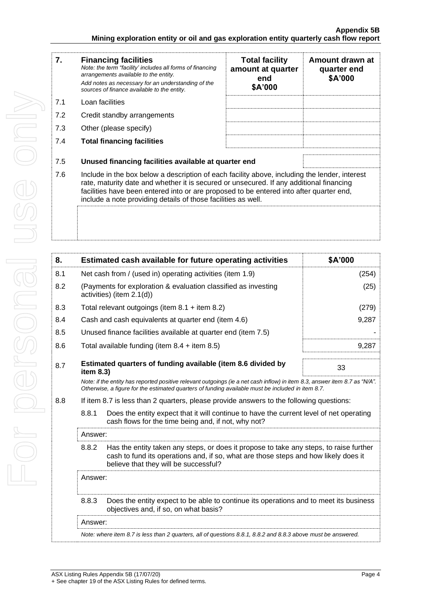| 7.  | <b>Financing facilities</b><br>Note: the term "facility' includes all forms of financing<br>arrangements available to the entity.<br>Add notes as necessary for an understanding of the<br>sources of finance available to the entity.                                                                                                               | <b>Total facility</b><br>amount at quarter<br>end<br>\$A'000 | Amount drawn at<br>quarter end<br>\$A'000 |  |
|-----|------------------------------------------------------------------------------------------------------------------------------------------------------------------------------------------------------------------------------------------------------------------------------------------------------------------------------------------------------|--------------------------------------------------------------|-------------------------------------------|--|
| 7.1 | Loan facilities                                                                                                                                                                                                                                                                                                                                      |                                                              |                                           |  |
| 7.2 | Credit standby arrangements                                                                                                                                                                                                                                                                                                                          |                                                              |                                           |  |
| 7.3 | Other (please specify)                                                                                                                                                                                                                                                                                                                               |                                                              |                                           |  |
| 7.4 | <b>Total financing facilities</b>                                                                                                                                                                                                                                                                                                                    |                                                              |                                           |  |
| 7.5 | Unused financing facilities available at quarter end                                                                                                                                                                                                                                                                                                 |                                                              |                                           |  |
| 7.6 | Include in the box below a description of each facility above, including the lender, interest<br>rate, maturity date and whether it is secured or unsecured. If any additional financing<br>facilities have been entered into or are proposed to be entered into after quarter end,<br>include a note providing details of those facilities as well. |                                                              |                                           |  |
|     |                                                                                                                                                                                                                                                                                                                                                      |                                                              |                                           |  |

| 8.  |                                                                                                                                                                                                                                 | Estimated cash available for future operating activities                                                                                       | \$A'000 |  |
|-----|---------------------------------------------------------------------------------------------------------------------------------------------------------------------------------------------------------------------------------|------------------------------------------------------------------------------------------------------------------------------------------------|---------|--|
| 8.1 | Net cash from / (used in) operating activities (item 1.9)                                                                                                                                                                       |                                                                                                                                                | (254)   |  |
| 8.2 | (Payments for exploration & evaluation classified as investing<br>activities) (item 2.1(d))                                                                                                                                     |                                                                                                                                                | (25)    |  |
| 8.3 | Total relevant outgoings (item $8.1 +$ item $8.2$ )                                                                                                                                                                             |                                                                                                                                                | (279)   |  |
| 8.4 | Cash and cash equivalents at quarter end (item 4.6)                                                                                                                                                                             |                                                                                                                                                | 9,287   |  |
| 8.5 | Unused finance facilities available at quarter end (item 7.5)                                                                                                                                                                   |                                                                                                                                                |         |  |
| 8.6 | Total available funding (item $8.4 +$ item $8.5$ )                                                                                                                                                                              |                                                                                                                                                | 9,287   |  |
| 8.7 | item 8.3)                                                                                                                                                                                                                       | Estimated quarters of funding available (item 8.6 divided by                                                                                   | 33      |  |
|     | Note: if the entity has reported positive relevant outgoings (ie a net cash inflow) in item 8.3, answer item 8.7 as "N/A".<br>Otherwise, a figure for the estimated quarters of funding available must be included in item 8.7. |                                                                                                                                                |         |  |
| 8.8 | If item 8.7 is less than 2 quarters, please provide answers to the following questions:                                                                                                                                         |                                                                                                                                                |         |  |
|     | 8.8.1                                                                                                                                                                                                                           | Does the entity expect that it will continue to have the current level of net operating<br>cash flows for the time being and, if not, why not? |         |  |
|     | Answer:                                                                                                                                                                                                                         |                                                                                                                                                |         |  |
|     | 8.8.2<br>Has the entity taken any steps, or does it propose to take any steps, to raise further<br>cash to fund its operations and, if so, what are those steps and how likely does it<br>believe that they will be successful? |                                                                                                                                                |         |  |
|     | Answer:                                                                                                                                                                                                                         |                                                                                                                                                |         |  |
|     | 8.8.3                                                                                                                                                                                                                           | Does the entity expect to be able to continue its operations and to meet its business<br>objectives and, if so, on what basis?                 |         |  |
|     | Answer:                                                                                                                                                                                                                         |                                                                                                                                                |         |  |
|     | Note: where item 8.7 is less than 2 quarters, all of questions 8.8.1, 8.8.2 and 8.8.3 above must be answered.                                                                                                                   |                                                                                                                                                |         |  |